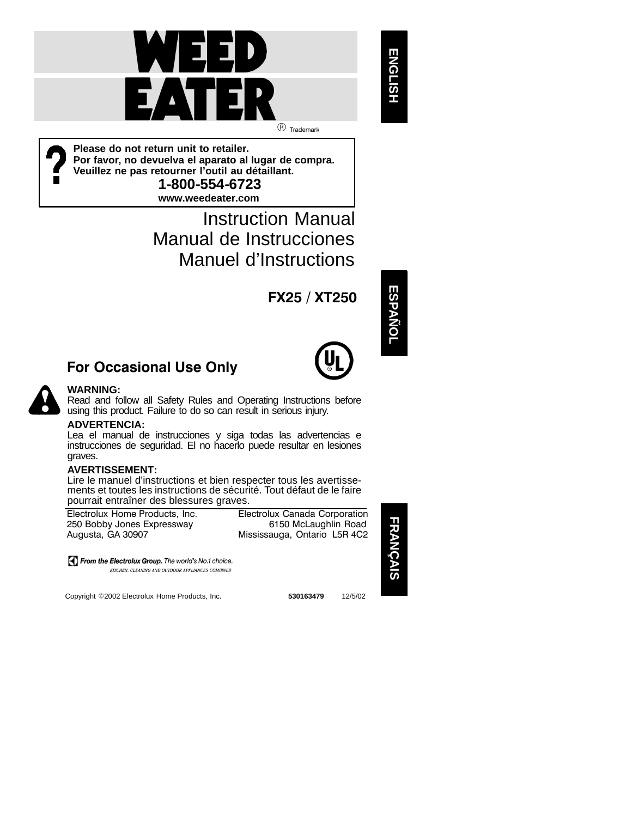

**ENGLISH ENGLISH**



**Please do not return unit to retailer. Por favor, no devuelva el aparato al lugar de compra. Veuillez ne pas retourner l'outil au détaillant. 1-800-554-6723**

**www.weedeater.com**

## Instruction Manual Manual de Instrucciones Manuel d'Instructions

**FX25 / XT250**

 **ESPAÑOL**





**WARNING:**

Read and follow all Safety Rules and Operating Instructions before using this product. Failure to do so can result in serious injury.

## **ADVERTENCIA:**

Lea el manual de instrucciones y siga todas las advertencias e instrucciones de seguridad. El no hacerlo puede resultar en lesiones graves.

## **AVERTISSEMENT:**

Lire le manuel d'instructions et bien respecter tous les avertissements et toutes les instructions de sécurité. Tout défaut de le faire pourrait entraîner des blessures graves.

| Electrolux Home Products, Inc.<br>250 Bobby Jones Expressway<br>Augusta, GA 30907                        | Electrolux Canada Corporation<br>6150 McLaughlin Road<br>Mississauga, Ontario L5R 4C2 |  |
|----------------------------------------------------------------------------------------------------------|---------------------------------------------------------------------------------------|--|
| From the Electrolux Group. The world's No.1 choice.<br>KITCHEN. CLEANING AND OUTDOOR APPLIANCES COMBINED |                                                                                       |  |
| Copyright ©2002 Electrolux Home Products, Inc.                                                           | 12/5/02<br>530163479                                                                  |  |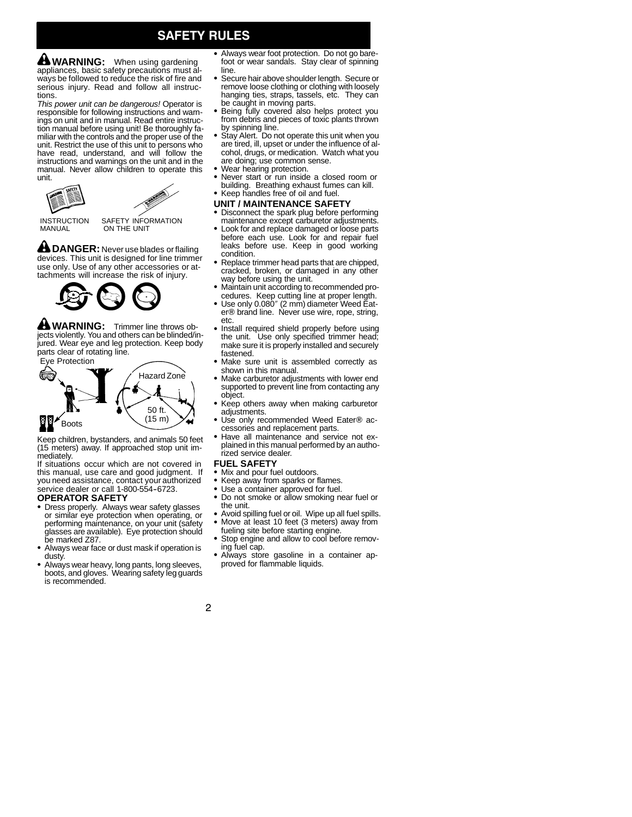## **SAFETY RULES**

**WARNING:** When using gardening appliances, basic safety precautions must always be followed to reduce the risk of fire and serious injury. Read and follow all instructions.

*This power unit can be dangerous!* Operator is responsible for following instructions and warnings on unit and in manual. Read entire instruction manual before using unit! Be thoroughly familiar with the controls and the proper use of the unit. Restrict the use of this unit to persons who have read, understand, and will follow the instructions and warnings on the unit and in the manual. Never allow children to operate this unit.





INSTRUCTION MANUAL

SAFETY INFORMATION ON THE UNIT

**A DANGER:** Never use blades or flailing devices. This unit is designed for line trimmer use only. Use of any other accessories or attachments will increase the risk of injury.



**WARNING:** Trimmer line throws objects violently. You and others can be blinded/injured. Wear eye and leg protection. Keep body parts clear of rotating line.



Keep children, bystanders, and animals 50 feet (15 meters) away. If approached stop unit immediately.

If situations occur which are not covered in this manual, use care and good judgment. If you need assistance, contact your authorized service dealer or call 1-800-554-6723.

#### **OPERATOR SAFETY**

- S Dress properly. Always wear safety glasses or similar eye protection when operating, or performing maintenance, on your unit (safety glasses are available). Eye protection should be marked Z87.
- Always wear face or dust mask if operation is dusty.
- S Always wear heavy, long pants, long sleeves, boots, and gloves. Wearing safety leg guards is recommended.
- Always wear foot protection. Do not go barefoot or wear sandals. Stay clear of spinning line.
- Secure hair above shoulder length. Secure or remove loose clothing or clothing with loosely hanging ties, straps, tassels, etc. They can be caught in moving parts.
- Being fully covered also helps protect you from debris and pieces of toxic plants thrown by spinning line. S Stay Alert. Do not operate this unit when you
- are tired, ill, upset or under the influence of alcohol, drugs, or medication. Watch what you are doing; use common sense.
- Wear hearing protection.
- Never start or run inside a closed room or building. Breathing exhaust fumes can kill. • Keep handles free of oil and fuel.
- 
- **UNIT / MAINTENANCE SAFETY** Disconnect the spark plug before performing
- maintenance except carburetor adjustments. • Look for and replace damaged or loose parts
- before each use. Look for and repair fuel leaks before use. Keep in good working condition.
- Replace trimmer head parts that are chipped, cracked, broken, or damaged in any other way before using the unit.
- Maintain unit according to recommended pro-
- cedures. Keep cutting line at proper length. S Use only 0.080! (2 mm) diameter Weed Eater<sup>®</sup> brand line. Never use wire, rope, string, etc.
- Install required shield properly before using<br>the unit. Use only specified trimmer head; make sure it is properly installed and securely fastened.
- Make sure unit is assembled correctly as shown in this manual.
- Make carburetor adjustments with lower end supported to prevent line from contacting any object.
- Keep others away when making carburetor adjustments.
- Use only recommended Weed Eater<sup>®</sup> ac-<br>cessories and replacement parts.
- Have all maintenance and service not explained in this manual performed by an authorized service dealer.

#### **FUEL SAFETY**

- Mix and pour fuel outdoors.
- Keep away from sparks or flames.
- Use a container approved for fuel.
- Do not smoke or allow smoking near fuel or the unit.
- Avoid spilling fuel or oil. Wipe up all fuel spills.
- Move at least 10 feet (3 meters) away from fueling site before starting engine.
- Stop engine and allow to cool before removing fuel cap.
- Always store gasoline in a container approved for flammable liquids.

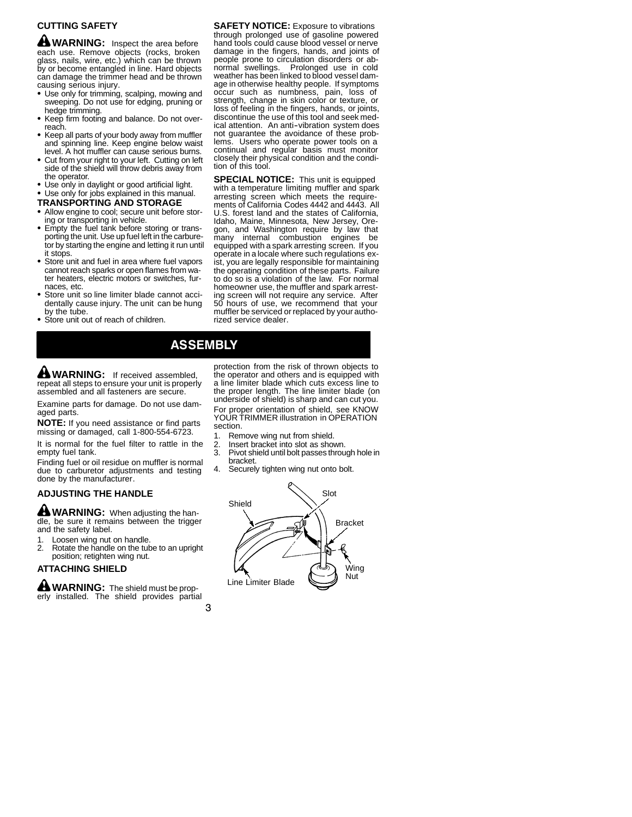#### **CUTTING SAFETY**

**WARNING:** Inspect the area before each use. Remove objects (rocks, broken glass, nails, wire, etc.) which can be thrown by or become entangled in line. Hard objects can damage the trimmer head and be thrown causing serious injury.

- Use only for trimming, scalping, mowing and sweeping. Do not use for edging, pruning or hedge trimming.
- Keep firm footing and balance. Do not overreach.
- Keep all parts of your body away from muffler and spinning line. Keep engine below waist level. A hot muffler can cause serious burns.
- Cut from your right to your left. Cutting on left side of the shield will throw debris away from the operator.
- Use only in daylight or good artificial light.
- Use only for jobs explained in this manual.
- **TRANSPORTING AND STORAGE**
- Allow engine to cool; secure unit before storing or transporting in vehicle.
- Empty the fuel tank before storing or transporting the unit. Use up fuel left in the carburetor by starting the engine and letting it run until it stops.
- Store unit and fuel in area where fuel vapors cannot reach sparks or open flames from water heaters, electric motors or switches, furnaces, etc.
- Store unit so line limiter blade cannot accidentally cause injury. The unit can be hung by the tube.
- Store unit out of reach of children.

**SAFETY NOTICE:** Exposure to vibrations through prolonged use of gasoline powered hand tools could cause blood vessel or nerve damage in the fingers, hands, and joints of people prone to circulation disorders or abnormal swellings. Prolonged use in cold weather has been linked to blood vessel damage in otherwise healthy people. If symptoms occur such as numbness, pain, loss of strength, change in skin color or texture, or loss of feeling in the fingers, hands, or joints, discontinue the use of this tool and seek medical attention. An anti-vibration system does not guarantee the avoidance of these problems. Users who operate power tools on a continual and regular basis must monitor closely their physical condition and the condition of this tool.

**SPECIAL NOTICE:** This unit is equipped with a temperature limiting muffler and spark arresting screen which meets the require-ments of California Codes 4442 and 4443. All U.S. forest land and the states of California, Idaho, Maine, Minnesota, New Jersey, Ore-gon, and Washington require by law that many internal combustion engines be equipped with a spark arresting screen. If you operate in a locale where such regulations exist, you are legally responsible for maintaining the operating condition of these parts. Failure to do so is a violation of the law. For normal homeowner use, the muffler and spark arresting screen will not require any service. After 50 hours of use, we recommend that your muffler be serviced or replaced by your authorized service dealer.

## **ASSEMBLY**

3

**WARNING:** If received assembled, repeat all steps to ensure your unit is properly assembled and all fasteners are secure.

Examine parts for damage. Do not use damaged parts.

**NOTE:** If you need assistance or find parts missing or damaged, call 1-800-554-6723.

It is normal for the fuel filter to rattle in the empty fuel tank.

Finding fuel or oil residue on muffler is normal due to carburetor adjustments and testing done by the manufacturer.

#### **ADJUSTING THE HANDLE**

**WARNING:** When adjusting the handle, be sure it remains between the trigger and the safety label.

- 1. Loosen wing nut on handle.<br>2. Rotate the handle on the tub
- Rotate the handle on the tube to an upright position; retighten wing nut.

#### **ATTACHING SHIELD**

**WARNING:** The shield must be properly installed. The shield provides partial

protection from the risk of thrown objects to the operator and others and is equipped with a line limiter blade which cuts excess line to the proper length. The line limiter blade (on underside of shield) is sharp and can cut you. For proper orientation of shield, see KNOW YOUR TRIMMER illustration in OPERATION section.

- 1. Remove wing nut from shield.<br>2. Insert bracket into slot as show
- 2. Insert bracket into slot as shown.<br>3. Pivot shield until bolt passes throu
- Pivot shield until bolt passes through hole in bracket.
- 4. Securely tighten wing nut onto bolt.

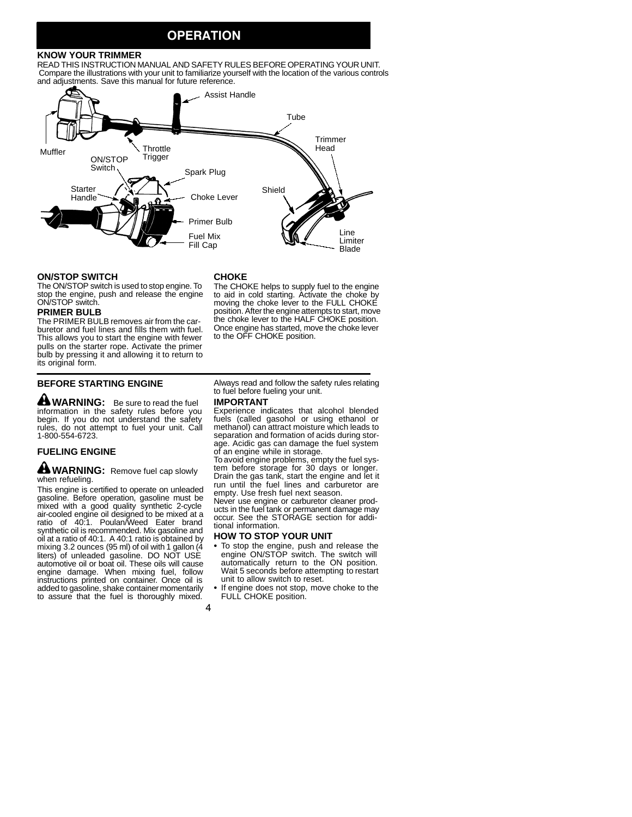## **OPERATION**

#### **KNOW YOUR TRIMMER**

READ THIS INSTRUCTION MANUAL AND SAFETY RULES BEFORE OPERATING YOUR UNIT. Compare the illustrations with your unit to familiarize yourself with the location of the various controls and adjustments. Save this manual for future reference.



#### **ON/STOP SWITCH**

The ON/STOP switch is used to stop engine. To stop the engine, push and release the engine ON/STOP switch.

#### **PRIMER BULB**

The PRIMER BULB removes air from the carburetor and fuel lines and fills them with fuel. This allows you to start the engine with fewer pulls on the starter rope. Activate the primer bulb by pressing it and allowing it to return to its original form.

#### **BEFORE STARTING ENGINE**

**WARNING:** Be sure to read the fuel information in the safety rules before you begin. If you do not understand the safety rules, do not attempt to fuel your unit. Call 1-800-554-6723.

#### **FUELING ENGINE**

#### **A** WARNING: Remove fuel cap slowly when refueling.

This engine is certified to operate on unleaded gasoline. Before operation, gasoline must be mixed with a good quality synthetic 2-cycle air-cooled engine oil designed to be mixed at a ratio of 40:1. Poulan/Weed Eater brand synthetic oil is recommended. Mix gasoline and oil at a ratio of 40:1. A 40:1 ratio is obtained by mixing 3.2 ounces (95 ml) of oil with 1 gallon (4 liters) of unleaded gasoline. DO NOT USE automotive oil or boat oil. These oils will cause engine damage. When mixing fuel, follow instructions printed on container. Once oil is added to gasoline, shake container momentarily to assure that the fuel is thoroughly mixed.

#### **CHOKE**

The CHOKE helps to supply fuel to the engine to aid in cold starting. Activate the choke by moving the choke lever to the FULL CHOKE position. After the engine attempts to start, move the choke lever to the HALF CHOKE position. Once engine has started, move the choke lever to the OFF CHOKE position.

Always read and follow the safety rules relating to fuel before fueling your unit.

#### **IMPORTANT**

4

Experience indicates that alcohol blended fuels (called gasohol or using ethanol or methanol) can attract moisture which leads to separation and formation of acids during storage. Acidic gas can damage the fuel system of an engine while in storage.

To avoid engine problems, empty the fuel system before storage for 30 days or longer. Drain the gas tank, start the engine and let it run until the fuel lines and carburetor are empty. Use fresh fuel next season.

Never use engine or carburetor cleaner products in the fuel tank or permanent damage may occur. See the STORAGE section for additional information.

#### **HOW TO STOP YOUR UNIT**

- To stop the engine, push and release the engine ON/STOP switch. The switch will automatically return to the ON position. Wait 5 seconds before attempting to restart unit to allow switch to reset.
- If engine does not stop, move choke to the FULL CHOKE position.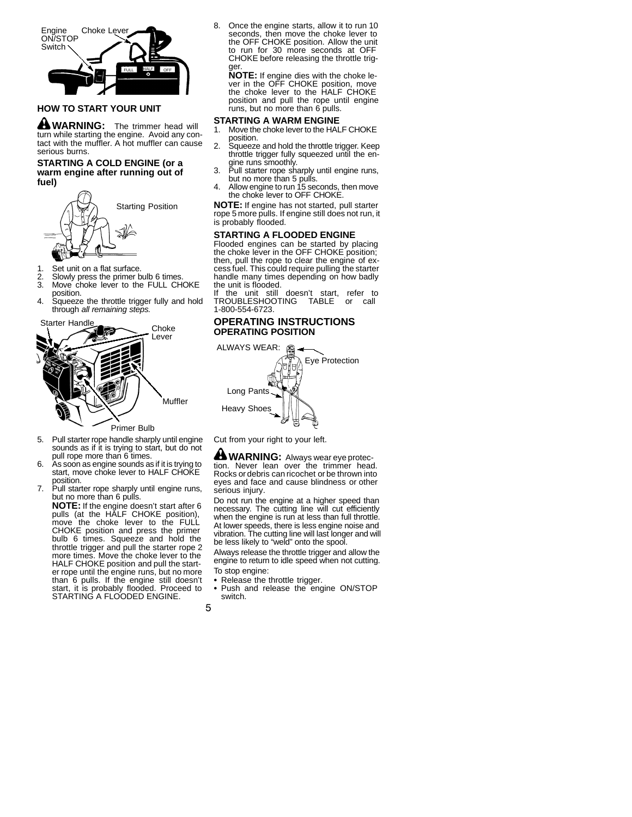

#### **HOW TO START YOUR UNIT**

**WARNING:** The trimmer head will turn while starting the engine. Avoid any contact with the muffler. A hot muffler can cause serious burns.

#### **STARTING A COLD ENGINE (or a warm engine after running out of fuel)**



- 1. Set unit on a flat surface.
- 2. Slowly press the primer bulb 6 times.<br>3. Move choke lever to the FULL CH
- Move choke lever to the FULL CHOKE position.
- 4. Squeeze the throttle trigger fully and hold through *all remaining steps.*





Primer Bulb

- 5. Pull starter rope handle sharply until engine sounds as if it is trying to start, but do not pull rope more than 6 times.
- 6. As soon as engine sounds as if it is trying to start, move choke lever to HALF CHOKE position.
- 7. Pull starter rope sharply until engine runs, but no more than 6 pulls.

**NOTE:** If the engine doesn't start after 6 pulls (at the HALF CHOKE position), move the choke lever to the FULL CHOKE position and press the primer bulb 6 times. Squeeze and hold the throttle trigger and pull the starter rope 2 more times. Move the choke lever to the HALF CHOKE position and pull the starter rope until the engine runs, but no more than 6 pulls. If the engine still doesn't start, it is probably flooded. Proceed to STARTING A FLOODED ENGINE.

8. Once the engine starts, allow it to run 10 seconds, then move the choke lever to the OFF CHOKE position. Allow the unit to run for 30 more seconds at OFF CHOKE before releasing the throttle trigder

**NOTE:** If engine dies with the choke lever in the OFF CHOKE position, move the choke lever to the HALF CHOKE position and pull the rope until engine runs, but no more than 6 pulls.

#### **STARTING A WARM ENGINE**

- 1. Move the choke lever to the HALF CHOKE position. 2. Squeeze and hold the throttle trigger. Keep
- throttle trigger fully squeezed until the en-
- gine runs smoothly. 3. Pull starter rope sharply until engine runs,
- but no more than 5 pulls. 4. Allow engine to run 15 seconds, then move the choke lever to OFF CHOKE.

**NOTE:** If engine has not started, pull starter rope 5 more pulls. If engine still does not run, it is probably flooded.

#### **STARTING A FLOODED ENGINE**

Flooded engines can be started by placing the choke lever in the OFF CHOKE position; then, pull the rope to clear the engine of excess fuel. This could require pulling the starter handle many times depending on how badly the unit is flooded.

If the unit still doesn't start, refer to TROUBLESHOOTING TABLE or call 1-800-554-6723.

#### **OPERATING INSTRUCTIONS OPERATING POSITION**



Cut from your right to your left.

**WARNING:** Always wear eye protection. Never lean over the trimmer head. Rocks or debris can ricochet or be thrown into eyes and face and cause blindness or other serious injury.

Do not run the engine at a higher speed than necessary. The cutting line will cut efficiently when the engine is run at less than full throttle. At lower speeds, there is less engine noise and vibration. The cutting line will last longer and will be less likely to "weld" onto the spool.

Always release the throttle trigger and allow the engine to return to idle speed when not cutting. To stop engine:

• Release the throttle trigger.

5

• Push and release the engine ON/STOP switch.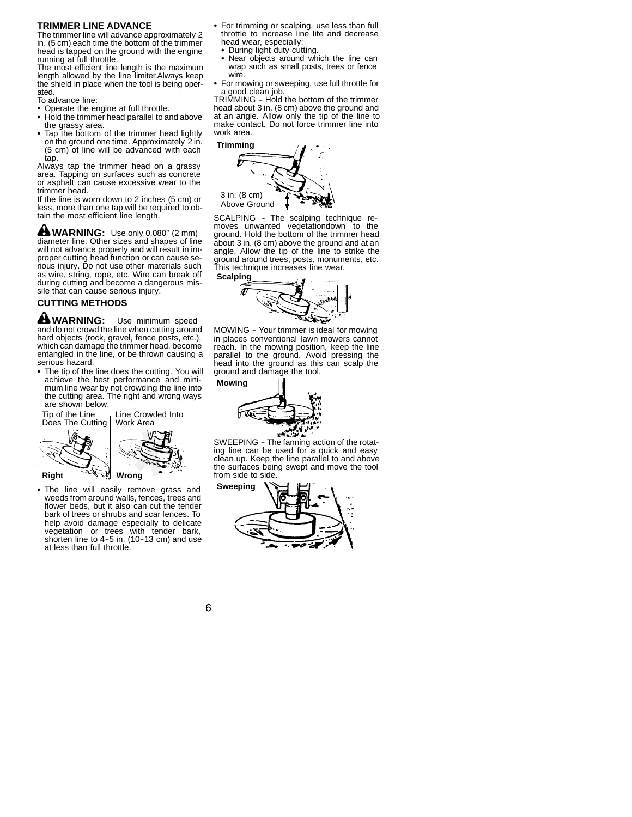#### **TRIMMER LINE ADVANCE**

The trimmer line will advance approximately 2 in. (5 cm) each time the bottom of the trimmer head is tapped on the ground with the engine running at full throttle.

The most efficient line length is the maximum length allowed by the line limiter.Always keep the shield in place when the tool is being operated.

To advance line:

- Operate the engine at full throttle.
- Hold the trimmer head parallel to and above the grassy area.
- Tap the bottom of the trimmer head lightly on the ground one time. Approximately 2 in. (5 cm) of line will be advanced with each tap.

Always tap the trimmer head on a grassy area. Tapping on surfaces such as concrete or asphalt can cause excessive wear to the trimmer head.

If the line is worn down to 2 inches (5 cm) or less, more than one tap will be required to ob-tain the most efficient line length.

**WARNING:** Use only 0.080" (2 mm) diameter line. Other sizes and shapes of line will not advance properly and will result in improper cutting head function or can cause serious injury. Do not use other materials such as wire, string, rope, etc. Wire can break off during cutting and become a dangerous missile that can cause serious injury.

#### **CUTTING METHODS**

**WARNING:** Use minimum speed and do not crowd the line when cutting around hard objects (rock, gravel, fence posts, etc.), which can damage the trimmer head, become entangled in the line, or be thrown causing a serious hazard.

• The tip of the line does the cutting. You will achieve the best performance and minimum line wear by not crowding the line into the cutting area. The right and wrong ways are shown below.

Tip of the Line Does The Cutting



# **Right Wrong**

The line will easily remove grass and weeds from around walls, fences, trees and flower beds, but it also can cut the tender bark of trees or shrubs and scar fences. To help avoid damage especially to delicate vegetation or trees with tender bark, shorten line to  $4-5$  in. (10-13 cm) and use at less than full throttle.

- S For trimming or scalping, use less than full throttle to increase line life and decrease head wear, especially:
- 
- During light duty cutting.<br>• Near objects around which the line can wrap such as small posts, trees or fence wire.
- For mowing or sweeping, use full throttle for

a good clean job.<br>TRIMMING - Hold the bottom of the trimmer head about 3 in. (8 cm) above the ground and at an angle. Allow only the tip of the line to make contact. Do not force trimmer line into work area.



SCALPING - The scalping technique re-<br>moves unwanted vegetationdown to the ground. Hold the bottom of the trimmer head about 3 in. (8 cm) above the ground and at an angle. Allow the tip of the line to strike the ground around trees, posts, monuments, etc.<br>This technique increases line wear.



MOWING - Your trimmer is ideal for mowing in places conventional lawn mowers cannot reach. In the mowing position, keep the line parallel to the ground. Avoid pressing the head into the ground as this can scalp the ground and damage the tool.



SWEEPING - The fanning action of the rotating line can be used for a quick and easy clean up. Keep the line parallel to and above the surfaces being swept and move the tool from side to side.



6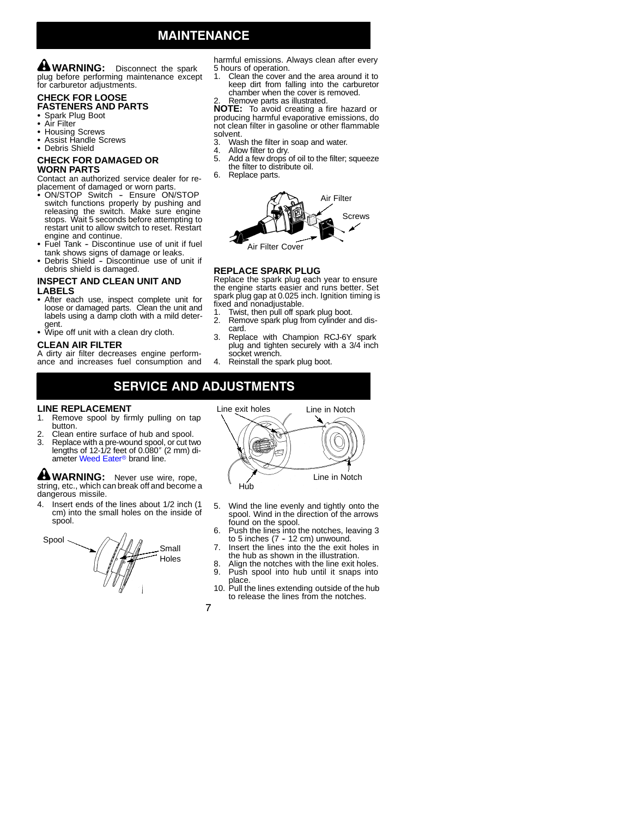## **MAINTENANCE**

**WARNING:** Disconnect the spark plug before performing maintenance except for carburetor adjustments.

#### **CHECK FOR LOOSE FASTENERS AND PARTS**

## • Spark Plug Boot

- $\cdot$  Air Filter
- Housing Screws
- Assist Handle Screws
- Debris Shield

#### **CHECK FOR DAMAGED OR WORN PARTS**

Contact an authorized service dealer for replacement of damaged or worn parts.

- ON/STOP Switch Ensure ON/STOP switch functions properly by pushing and releasing the switch. Make sure engine stops. Wait 5 seconds before attempting to restart unit to allow switch to reset. Restart engine and continue.
- Fuel Tank Discontinue use of unit if fuel tank shows signs of damage or leaks.
- Debris Shield Discontinue use of unit if debris shield is damaged.

#### **INSPECT AND CLEAN UNIT AND LABELS**

- After each use, inspect complete unit for loose or damaged parts. Clean the unit and labels using a damp cloth with a mild detergent.
- Wipe off unit with a clean dry cloth.

#### **CLEAN AIR FILTER**

A dirty air filter decreases engine performance and increases fuel consumption and harmful emissions. Always clean after every 5 hours of operation.

- 1. Clean the cover and the area around it to keep dirt from falling into the carburetor chamber when the cover is removed.
- 2. Remove parts as illustrated.

**NOTE:** To avoid creating a fire hazard or producing harmful evaporative emissions, do not clean filter in gasoline or other flammable

- solvent.<br>3. Was 3. Wash the filter in soap and water.<br>4. Allow filter to drv.
- 4. Allow filter to dry.<br>5. Add a few drops of
- Add a few drops of oil to the filter; squeeze the filter to distribute oil.
- 6. Replace parts.



#### **REPLACE SPARK PLUG**

Replace the spark plug each year to ensure the engine starts easier and runs better. Set spark plug gap at 0.025 inch. Ignition timing is fixed and nonadjustable.

- 1. Twist, then pull off spark plug boot.<br>2. Remove spark plug from cylinder a Remove spark plug from cylinder and dis-
- card. 3. Replace with Champion RCJ-6Y spark plug and tighten securely with a 3/4 inch socket wrench.
- 4. Reinstall the spark plug boot.

## **SERVICE AND ADJUSTMENTS**

7

#### **LINE REPLACEMENT**

- 1. Remove spool by firmly pulling on tap button.
- 2. Clean entire surface of hub and spool.<br>3. Replace with a pre-wound spool, or cut ty 3. Replace with a pre-wound spool, or cut two lengths of 12-1/2 feet of 0.080! (2 mm) diameter Weed Eater<sup>®</sup> brand line.

**WARNING:** Never use wire, rope, string, etc., which can break off and become a dangerous missile.

4. Insert ends of the lines about 1/2 inch (1 cm) into the small holes on the inside of spool.





- 5. Wind the line evenly and tightly onto the spool. Wind in the direction of the arrows found on the spool.
- 6. Push the lines into the notches, leaving 3 to 5 inches  $(7 - 12$  cm) unwound.
- 7. Insert the lines into the the exit holes in the hub as shown in the illustration.
- 8. Align the notches with the line exit holes.<br>9. Push spool into hub until it spape into
- Push spool into hub until it snaps into place.
- 10. Pull the lines extending outside of the hub to release the lines from the notches.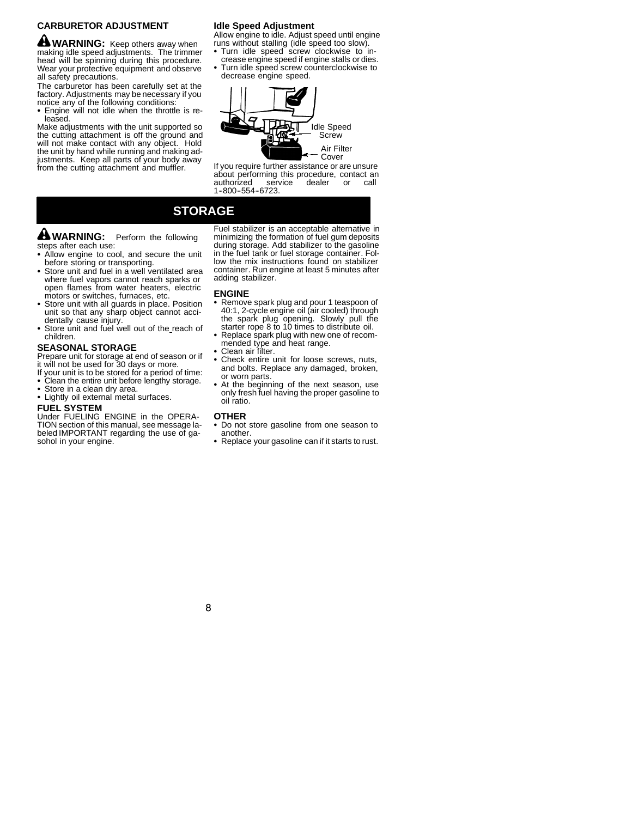#### **CARBURETOR ADJUSTMENT**

**WARNING:** Keep others away when making idle speed adjustments. The trimmer head will be spinning during this procedure. Wear your protective equipment and observe all safety precautions.

The carburetor has been carefully set at the factory. Adjustments may be necessary if you notice any of the following conditions:

• Engine will not idle when the throttle is released.

Make adjustments with the unit supported so the cutting attachment is off the ground and will not make contact with any object. Hold the unit by hand while running and making adjustments. Keep all parts of your body away from the cutting attachment and muffler.

#### **Idle Speed Adjustment**

Allow engine to idle. Adjust speed until engine runs without stalling (idle speed too slow).

- Turn idle speed screw clockwise to increase engine speed if engine stalls or dies.
- Turn idle speed screw counterclockwise to decrease engine speed.



If you require further assistance or are unsure about performing this procedure, contact an authorized service dealer or call authorized service dealer or 1-800-554-6723.

## **STORAGE**

## **WARNING:** Perform the following

- steps after each use: • Allow engine to cool, and secure the unit
- before storing or transporting. • Store unit and fuel in a well ventilated area
- where fuel vapors cannot reach sparks or open flames from water heaters, electric motors or switches, furnaces, etc.
- Store unit with all guards in place. Position unit so that any sharp object cannot accidentally cause injury.
- Store unit and fuel well out of the reach of children.

#### **SEASONAL STORAGE**

Prepare unit for storage at end of season or if it will not be used for 30 days or more.

- If your unit is to be stored for a period of time: Clean the entire unit before lengthy storage.
- Store in a clean dry area.
- Lightly oil external metal surfaces.

#### **FUEL SYSTEM**

Under FUELING ENGINE in the OPERA-TION section of this manual, see message labeled IMPORTANT regarding the use of gasohol in your engine.

Fuel stabilizer is an acceptable alternative in minimizing the formation of fuel gum deposits during storage. Add stabilizer to the gasoline in the fuel tank or fuel storage container. Follow the mix instructions found on stabilizer container. Run engine at least 5 minutes after adding stabilizer.

#### **ENGINE**

- Remove spark plug and pour 1 teaspoon of 40:1, 2-cycle engine oil (air cooled) through the spark plug opening. Slowly pull the starter rope 8 to 10 times to distribute oil.
- Replace spark plug with new one of recommended type and heat range.<br>• Clean air filter.
- 
- Check entire unit for loose screws, nuts, and bolts. Replace any damaged, broken, or worn parts.
- S At the beginning of the next season, use only fresh fuel having the proper gasoline to oil ratio.

#### **OTHER**

- Do not store gasoline from one season to another.
- Replace your gasoline can if it starts to rust.

8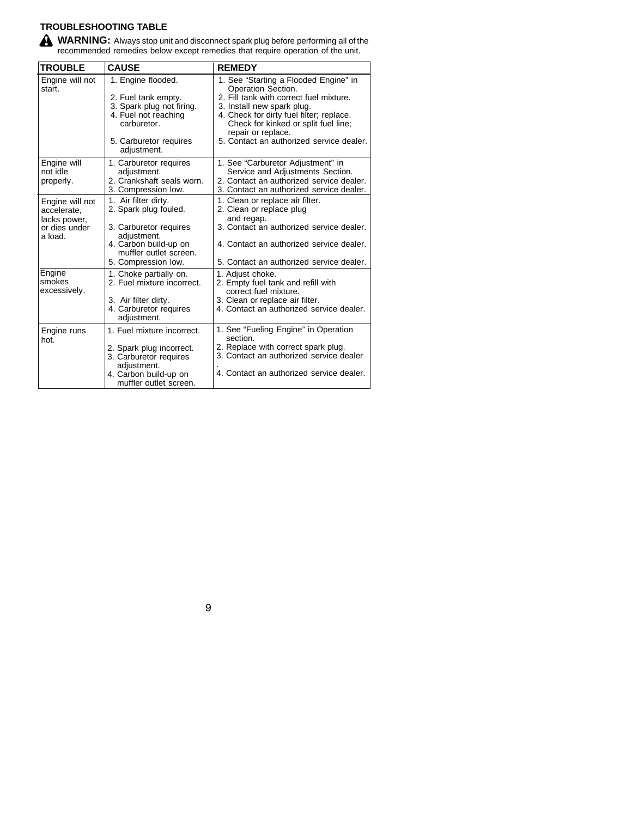## **TROUBLESHOOTING TABLE**

**WARNING:** Always stop unit and disconnect spark plug before performing all of the recommended remedies below except remedies that require operation of the unit.

| <b>TROUBLE</b>                                                             | <b>CAUSE</b>                                                                                                                                                     | <b>REMEDY</b>                                                                                                                                                                                                                                                                              |
|----------------------------------------------------------------------------|------------------------------------------------------------------------------------------------------------------------------------------------------------------|--------------------------------------------------------------------------------------------------------------------------------------------------------------------------------------------------------------------------------------------------------------------------------------------|
| Engine will not<br>start.                                                  | 1. Engine flooded.<br>2. Fuel tank empty.<br>3. Spark plug not firing.<br>4. Fuel not reaching<br>carburetor.<br>5. Carburetor requires<br>adjustment.           | 1. See "Starting a Flooded Engine" in<br>Operation Section.<br>2. Fill tank with correct fuel mixture.<br>3. Install new spark plug.<br>4. Check for dirty fuel filter; replace.<br>Check for kinked or split fuel line;<br>repair or replace.<br>5. Contact an authorized service dealer. |
| Engine will<br>not idle<br>properly.                                       | 1. Carburetor requires<br>adjustment.<br>2. Crankshaft seals worn.<br>3. Compression low.                                                                        | 1. See "Carburetor Adjustment" in<br>Service and Adjustments Section.<br>2. Contact an authorized service dealer.<br>3. Contact an authorized service dealer.                                                                                                                              |
| Engine will not<br>accelerate,<br>lacks power,<br>or dies under<br>a load. | 1. Air filter dirty.<br>2. Spark plug fouled.<br>3. Carburetor requires<br>adjustment.<br>4. Carbon build-up on<br>muffler outlet screen.<br>5. Compression low. | 1. Clean or replace air filter.<br>2. Clean or replace plug<br>and regap.<br>3. Contact an authorized service dealer.<br>4. Contact an authorized service dealer.<br>5. Contact an authorized service dealer.                                                                              |
| Engine<br>smokes<br>excessively.                                           | 1. Choke partially on.<br>2. Fuel mixture incorrect.<br>3. Air filter dirty.<br>4. Carburetor requires<br>adjustment.                                            | 1. Adjust choke.<br>2. Empty fuel tank and refill with<br>correct fuel mixture.<br>3. Clean or replace air filter.<br>4. Contact an authorized service dealer.                                                                                                                             |
| Engine runs<br>hot.                                                        | 1. Fuel mixture incorrect.<br>2. Spark plug incorrect.<br>3. Carburetor requires<br>adjustment.<br>4. Carbon build-up on<br>muffler outlet screen.               | 1. See "Fueling Engine" in Operation<br>section.<br>2. Replace with correct spark plug.<br>3. Contact an authorized service dealer<br>4. Contact an authorized service dealer.                                                                                                             |

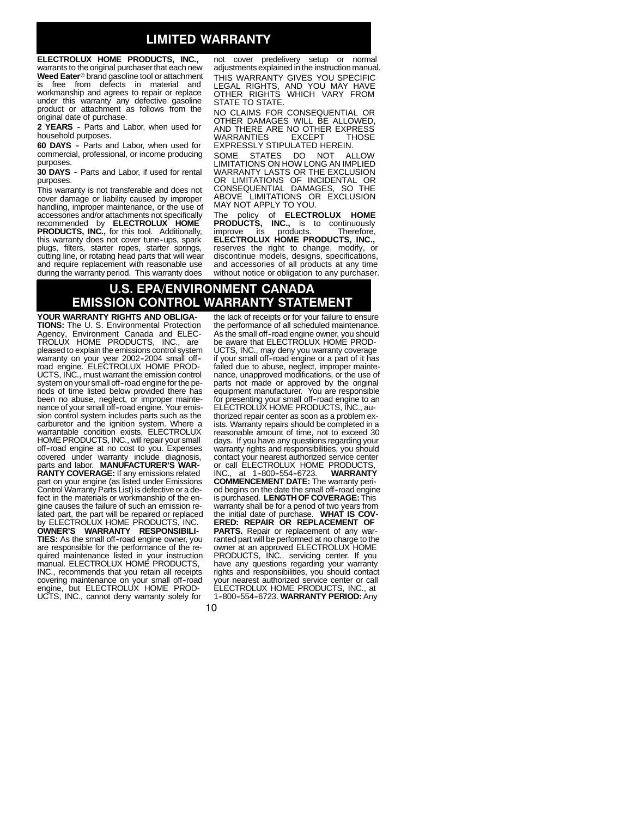## **LIMITED WARRANTY**

**ELECTROLUX HOME PRODUCTS, INC.,** warrants to the original purchaser that each new **Weed Eater**<sup>®</sup> brand gasoline tool or attachment is free from defects in material and workmanship and agrees to repair or replace under this warranty any defective gasoline product or attachment as follows from the original date of purchase.

2 YEARS - Parts and Labor, when used for household purposes.

60 DAYS - Parts and Labor, when used for commercial, professional, or income producing purposes.

**30 DAYS** - Parts and Labor, if used for rental purposes.

This warranty is not transferable and does not cover damage or liability caused by improper handling, improper maintenance, or the use of accessories and/or attachments not specifically recommended by **ELECTROLUX HOME PRODUCTS, INC.,** for this tool. Additionally, this warranty does not cover tune-ups, spark plugs, filters, starter ropes, starter springs, cutting line, or rotating head parts that will wear and require replacement with reasonable use during the warranty period. This warranty does

not cover predelivery setup or normal adjustments explained in the instruction manual. THIS WARRANTY GIVES YOU SPECIFIC LEGAL RIGHTS, AND YOU MAY HAVE OTHER RIGHTS WHICH VARY FROM STATE TO STATE.

NO CLAIMS FOR CONSEQUENTIAL OR OTHER DAMAGES WILL BE ALLOWED, AND THERE ARE NO OTHER EXPRESS WARRANTIES EXCEPT THOSE EXPRESSLY STIPULATED HEREIN.

SOME STATES DO NOT ALLOW LIMITATIONS ON HOW LONG AN IMPLIED WARRANTY LASTS OR THE EXCLUSION OR LIMITATIONS OF INCIDENTAL OR CONSEQUENTIAL DAMAGES, SO THE ABOVE LIMITATIONS OR EXCLUSION MAY NOT APPLY TO YOU.

The policy of **ELECTROLUX HOME PRODUCTS, INC.,** is to continuously improve its products. Therefore, **ELECTROLUX HOME PRODUCTS, INC.,** reserves the right to change, modify, or discontinue models, designs, specifications, and accessories of all products at any time without notice or obligation to any purchaser.

## **U.S. EPA/ENVIRONMENT CANADA EMISSION CONTROL WARRANTY STATEMENT**

**YOUR WARRANTY RIGHTS AND OBLIGA-TIONS:** The U. S. Environmental Protection Agency, Environment Canada and ELEC-TROLUX HOME PRODUCTS, INC., are pleased to explain the emissions control system warranty on your year 2002-2004 small off-<br>road engine. ELECTROLUX HOME PROD-UCTS, INC., must warrant the emission control system on your small off--road engine for the periods of time listed below provided there has been no abuse, neglect, or improper maintenance of your small off--road engine. Your emission control system includes parts such as the carburetor and the ignition system. Where a warrantable condition exists, ELECTROLUX HOME PRODUCTS, INC., will repair your small off--road engine at no cost to you. Expenses covered under warranty include diagnosis, parts and labor. **MANUFACTURER'S WAR-RANTY COVERAGE:** If any emissions related part on your engine (as listed under Emissions Control Warranty Parts List) is defective or a defect in the materials or workmanship of the engine causes the failure of such an emission related part, the part will be repaired or replaced by ELECTROLUX HOME PRODUCTS, INC. **OWNER'S WARRANTY RESPONSIBILI-**TIES: As the small off-road engine owner, you are responsible for the performance of the required maintenance listed in your instruction manual. ELECTROLUX HOME PRODUCTS, INC., recommends that you retain all receipts covering maintenance on your small off--road engine, but ELECTROLUX HOME PROD-UCTS, INC., cannot deny warranty solely for

10 the lack of receipts or for your failure to ensure the performance of all scheduled maintenance. As the small off--road engine owner, you should be aware that ELECTROLUX HOME PROD-UCTS, INC., may deny you warranty coverage if your small off--road engine or a part of it has failed due to abuse, neglect, improper maintenance, unapproved modifications, or the use of parts not made or approved by the original equipment manufacturer. You are responsible for presenting your small off--road engine to an ELECTROLUX HOME PRODUCTS, INC., authorized repair center as soon as a problem exists. Warranty repairs should be completed in a reasonable amount of time, not to exceed 30 days. If you have any questions regarding your warranty rights and responsibilities, you should contact your nearest authorized service center or call ELECTROLUX HOME PRODUCTS,<br>INC., at 1-800-554-6723. **WARRANTY** 1-800-554-6723. **COMMENCEMENT DATE:** The warranty period begins on the date the small off--road engine is purchased. **LENGTH OF COVERAGE:**This warranty shall be for a period of two years from the initial date of purchase. **WHAT IS COV-ERED: REPAIR OR REPLACEMENT OF PARTS.** Repair or replacement of any warranted part will be performed at no charge to the owner at an approved ELECTROLUX HOME PRODUCTS, INC., servicing center. If you have any questions regarding your warranty rights and responsibilities, you should contact your nearest authorized service center or call<br>FLECTROLUX HOME PRODUCTS UNC. at ELECTROLUX HOME PRODUCTS, INC. 1--800--554--6723. **WARRANTY PERIOD:** Any